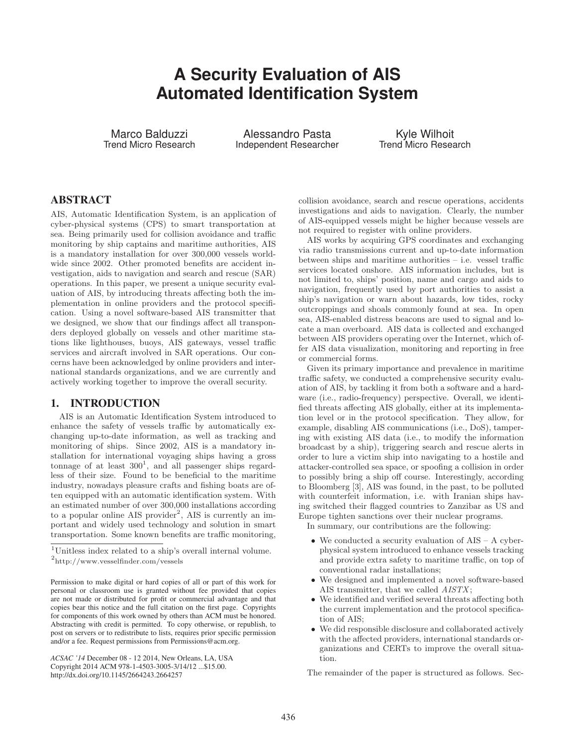# **A Security Evaluation of AIS Automated Identification System**

Marco Balduzzi Trend Micro Research

Alessandro Pasta Independent Researcher

Kyle Wilhoit Trend Micro Research

# ABSTRACT

AIS, Automatic Identification System, is an application of cyber-physical systems (CPS) to smart transportation at sea. Being primarily used for collision avoidance and traffic monitoring by ship captains and maritime authorities, AIS is a mandatory installation for over 300,000 vessels worldwide since 2002. Other promoted benefits are accident investigation, aids to navigation and search and rescue (SAR) operations. In this paper, we present a unique security evaluation of AIS, by introducing threats affecting both the implementation in online providers and the protocol specification. Using a novel software-based AIS transmitter that we designed, we show that our findings affect all transponders deployed globally on vessels and other maritime stations like lighthouses, buoys, AIS gateways, vessel traffic services and aircraft involved in SAR operations. Our concerns have been acknowledged by online providers and international standards organizations, and we are currently and actively working together to improve the overall security.

## 1. INTRODUCTION

AIS is an Automatic Identification System introduced to enhance the safety of vessels traffic by automatically exchanging up-to-date information, as well as tracking and monitoring of ships. Since 2002, AIS is a mandatory installation for international voyaging ships having a gross tonnage of at least  $300<sup>1</sup>$ , and all passenger ships regardless of their size. Found to be beneficial to the maritime industry, nowadays pleasure crafts and fishing boats are often equipped with an automatic identification system. With an estimated number of over 300,000 installations according to a popular online AIS provider<sup>2</sup>, AIS is currently an important and widely used technology and solution in smart transportation. Some known benefits are traffic monitoring,

collision avoidance, search and rescue operations, accidents investigations and aids to navigation. Clearly, the number of AIS-equipped vessels might be higher because vessels are not required to register with online providers.

AIS works by acquiring GPS coordinates and exchanging via radio transmissions current and up-to-date information between ships and maritime authorities – i.e. vessel traffic services located onshore. AIS information includes, but is not limited to, ships' position, name and cargo and aids to navigation, frequently used by port authorities to assist a ship's navigation or warn about hazards, low tides, rocky outcroppings and shoals commonly found at sea. In open sea, AIS-enabled distress beacons are used to signal and locate a man overboard. AIS data is collected and exchanged between AIS providers operating over the Internet, which offer AIS data visualization, monitoring and reporting in free or commercial forms.

Given its primary importance and prevalence in maritime traffic safety, we conducted a comprehensive security evaluation of AIS, by tackling it from both a software and a hardware (i.e., radio-frequency) perspective. Overall, we identified threats affecting AIS globally, either at its implementation level or in the protocol specification. They allow, for example, disabling AIS communications (i.e., DoS), tampering with existing AIS data (i.e., to modify the information broadcast by a ship), triggering search and rescue alerts in order to lure a victim ship into navigating to a hostile and attacker-controlled sea space, or spoofing a collision in order to possibly bring a ship off course. Interestingly, according to Bloomberg [3], AIS was found, in the past, to be polluted with counterfeit information, i.e. with Iranian ships having switched their flagged countries to Zanzibar as US and Europe tighten sanctions over their nuclear programs.

In summary, our contributions are the following:

- We conducted a security evaluation of  $\text{AIS} \text{A}$  cyberphysical system introduced to enhance vessels tracking and provide extra safety to maritime traffic, on top of conventional radar installations;
- We designed and implemented a novel software-based AIS transmitter, that we called *AISTX* ;
- We identified and verified several threats affecting both the current implementation and the protocol specification of AIS;
- We did responsible disclosure and collaborated actively with the affected providers, international standards organizations and CERTs to improve the overall situation.

The remainder of the paper is structured as follows. Sec-

 $^1$  Unitless index related to a ship's overall internal volume.  $^2$  http://www.vesselfinder.com/vessels

Permission to make digital or hard copies of all or part of this work for personal or classroom use is granted without fee provided that copies are not made or distributed for profit or commercial advantage and that copies bear this notice and the full citation on the first page. Copyrights for components of this work owned by others than ACM must be honored. Abstracting with credit is permitted. To copy otherwise, or republish, to post on servers or to redistribute to lists, requires prior specific permission and/or a fee. Request permissions from Permissions@acm.org.

*ACSAC '14* December 08 - 12 2014, New Orleans, LA, USA Copyright 2014 ACM 978-1-4503-3005-3/14/12 ...\$15.00. http://dx.doi.org/10.1145/2664243.2664257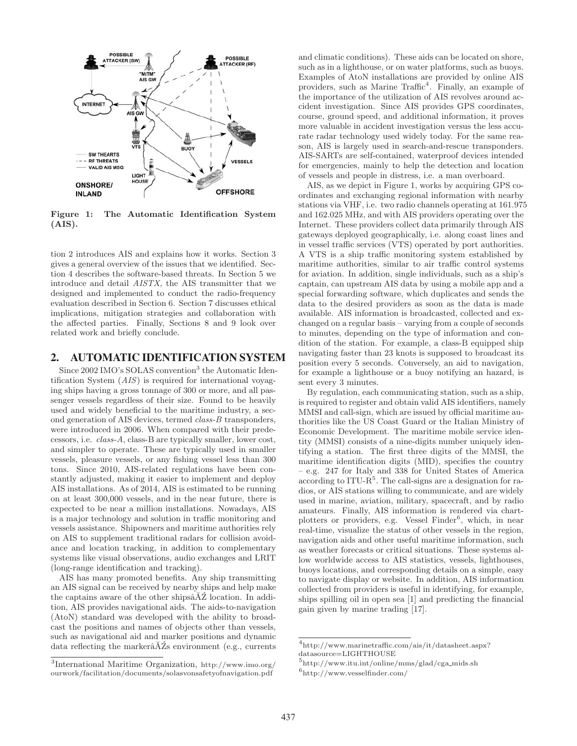

**Figure 1: The Automatic Identification System (AIS).**

tion 2 introduces AIS and explains how it works. Section 3 gives a general overview of the issues that we identified. Section 4 describes the software-based threats. In Section 5 we introduce and detail *AISTX*, the AIS transmitter that we designed and implemented to conduct the radio-frequency evaluation described in Section 6. Section 7 discusses ethical implications, mitigation strategies and collaboration with the affected parties. Finally, Sections 8 and 9 look over related work and briefly conclude.

# 2. AUTOMATIC IDENTIFICATION SYSTEM

Since 2002 IMO's SOLAS convention<sup>3</sup> the Automatic Identification System (*AIS*) is required for international voyaging ships having a gross tonnage of 300 or more, and all passenger vessels regardless of their size. Found to be heavily used and widely beneficial to the maritime industry, a second generation of AIS devices, termed *class-B* transponders, were introduced in 2006. When compared with their predecessors, i.e. *class-A*, class-B are typically smaller, lower cost, and simpler to operate. These are typically used in smaller vessels, pleasure vessels, or any fishing vessel less than 300 tons. Since 2010, AIS-related regulations have been constantly adjusted, making it easier to implement and deploy AIS installations. As of 2014, AIS is estimated to be running on at least 300,000 vessels, and in the near future, there is expected to be near a million installations. Nowadays, AIS is a major technology and solution in traffic monitoring and vessels assistance. Shipowners and maritime authorities rely on AIS to supplement traditional radars for collision avoidance and location tracking, in addition to complementary systems like visual observations, audio exchanges and LRIT (long-range identification and tracking).

AIS has many promoted benefits. Any ship transmitting an AIS signal can be received by nearby ships and help make the captains aware of the other ships $\tilde{A}Z$  location. In addition, AIS provides navigational aids. The aids-to-navigation (AtoN) standard was developed with the ability to broadcast the positions and names of objects other than vessels, such as navigational aid and marker positions and dynamic data reflecting the marker $\tilde{A}Z$ s environment (e.g., currents

and climatic conditions). These aids can be located on shore, such as in a lighthouse, or on water platforms, such as buoys. Examples of AtoN installations are provided by online AIS providers, such as Marine Traffic<sup>4</sup>. Finally, an example of the importance of the utilization of AIS revolves around accident investigation. Since AIS provides GPS coordinates, course, ground speed, and additional information, it proves more valuable in accident investigation versus the less accurate radar technology used widely today. For the same reason, AIS is largely used in search-and-rescue transponders. AIS-SARTs are self-contained, waterproof devices intended for emergencies, mainly to help the detection and location of vessels and people in distress, i.e. a man overboard.

AIS, as we depict in Figure 1, works by acquiring GPS coordinates and exchanging regional information with nearby stations via VHF, i.e. two radio channels operating at 161.975 and 162.025 MHz, and with AIS providers operating over the Internet. These providers collect data primarily through AIS gateways deployed geographically, i.e. along coast lines and in vessel traffic services (VTS) operated by port authorities. A VTS is a ship traffic monitoring system established by maritime authorities, similar to air traffic control systems for aviation. In addition, single individuals, such as a ship's captain, can upstream AIS data by using a mobile app and a special forwarding software, which duplicates and sends the data to the desired providers as soon as the data is made available. AIS information is broadcasted, collected and exchanged on a regular basis – varying from a couple of seconds to minutes, depending on the type of information and condition of the station. For example, a class-B equipped ship navigating faster than 23 knots is supposed to broadcast its position every 5 seconds. Conversely, an aid to navigation, for example a lighthouse or a buoy notifying an hazard, is sent every 3 minutes.

By regulation, each communicating station, such as a ship, is required to register and obtain valid AIS identifiers, namely MMSI and call-sign, which are issued by official maritime authorities like the US Coast Guard or the Italian Ministry of Economic Development. The maritime mobile service identity (MMSI) consists of a nine-digits number uniquely identifying a station. The first three digits of the MMSI, the maritime identification digits (MID), specifies the country – e.g. 247 for Italy and 338 for United States of America according to ITU- $R^5$ . The call-signs are a designation for radios, or AIS stations willing to communicate, and are widely used in marine, aviation, military, spacecraft, and by radio amateurs. Finally, AIS information is rendered via chartplotters or providers, e.g. Vessel Finder<sup>6</sup>, which, in near real-time, visualize the status of other vessels in the region, navigation aids and other useful maritime information, such as weather forecasts or critical situations. These systems allow worldwide access to AIS statistics, vessels, lighthouses, buoys locations, and corresponding details on a simple, easy to navigate display or website. In addition, AIS information collected from providers is useful in identifying, for example, ships spilling oil in open sea [1] and predicting the financial gain given by marine trading [17].

<sup>3</sup>International Maritime Organization, http://www.imo.org/ ourwork/facilitation/documents/solasvonsafetyofnavigation.pdf

<sup>4</sup>http://www.marinetraffic.com/ais/it/datasheet.aspx? datasource=LIGHTHOUSE

 $^{5}$ http://www.itu.int/online/mms/glad/cga\_mids.sh  $^6$ http://www.vesselfinder.com/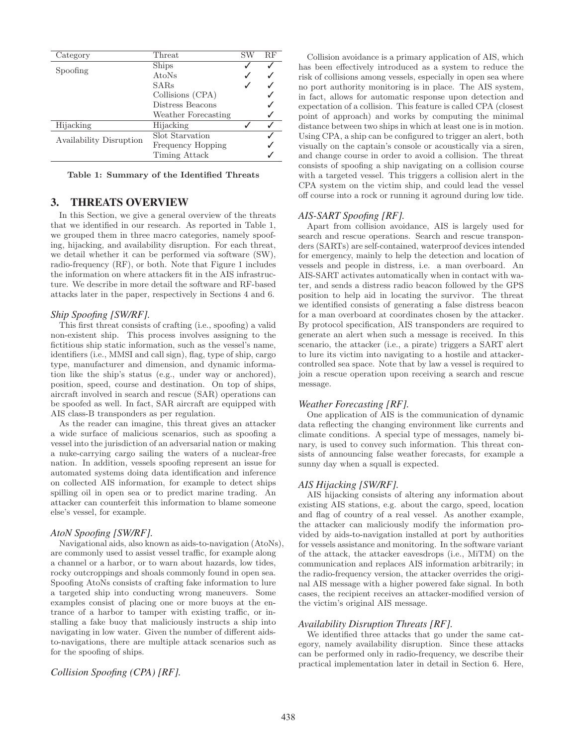| Category                | Threat                   | SW | RF |
|-------------------------|--------------------------|----|----|
| Spoofing                | Ships                    |    |    |
|                         | AtoNs                    |    |    |
|                         | <b>SARs</b>              |    |    |
|                         | Collisions (CPA)         |    |    |
|                         | Distress Beacons         |    |    |
|                         | Weather Forecasting      |    |    |
| Hijacking               | Hijacking                |    |    |
| Availability Disruption | Slot Starvation          |    |    |
|                         | <b>Frequency Hopping</b> |    |    |
|                         | Timing Attack            |    |    |

| Table 1: Summary of the Identified Threats |  |  |  |  |
|--------------------------------------------|--|--|--|--|
|--------------------------------------------|--|--|--|--|

# 3. THREATS OVERVIEW

In this Section, we give a general overview of the threats that we identified in our research. As reported in Table 1, we grouped them in three macro categories, namely spoofing, hijacking, and availability disruption. For each threat, we detail whether it can be performed via software (SW), radio-frequency (RF), or both. Note that Figure 1 includes the information on where attackers fit in the AIS infrastructure. We describe in more detail the software and RF-based attacks later in the paper, respectively in Sections 4 and 6.

## *Ship Spoofing [SW/RF].*

This first threat consists of crafting (i.e., spoofing) a valid non-existent ship. This process involves assigning to the fictitious ship static information, such as the vessel's name, identifiers (i.e., MMSI and call sign), flag, type of ship, cargo type, manufacturer and dimension, and dynamic information like the ship's status (e.g., under way or anchored), position, speed, course and destination. On top of ships, aircraft involved in search and rescue (SAR) operations can be spoofed as well. In fact, SAR aircraft are equipped with AIS class-B transponders as per regulation.

As the reader can imagine, this threat gives an attacker a wide surface of malicious scenarios, such as spoofing a vessel into the jurisdiction of an adversarial nation or making a nuke-carrying cargo sailing the waters of a nuclear-free nation. In addition, vessels spoofing represent an issue for automated systems doing data identification and inference on collected AIS information, for example to detect ships spilling oil in open sea or to predict marine trading. An attacker can counterfeit this information to blame someone else's vessel, for example.

## *AtoN Spoofing [SW/RF].*

Navigational aids, also known as aids-to-navigation (AtoNs), are commonly used to assist vessel traffic, for example along a channel or a harbor, or to warn about hazards, low tides, rocky outcroppings and shoals commonly found in open sea. Spoofing AtoNs consists of crafting fake information to lure a targeted ship into conducting wrong maneuvers. Some examples consist of placing one or more buoys at the entrance of a harbor to tamper with existing traffic, or installing a fake buoy that maliciously instructs a ship into navigating in low water. Given the number of different aidsto-navigations, there are multiple attack scenarios such as for the spoofing of ships.

## *Collision Spoofing (CPA) [RF].*

Collision avoidance is a primary application of AIS, which has been effectively introduced as a system to reduce the risk of collisions among vessels, especially in open sea where no port authority monitoring is in place. The AIS system, in fact, allows for automatic response upon detection and expectation of a collision. This feature is called CPA (closest point of approach) and works by computing the minimal distance between two ships in which at least one is in motion. Using CPA, a ship can be configured to trigger an alert, both visually on the captain's console or acoustically via a siren, and change course in order to avoid a collision. The threat consists of spoofing a ship navigating on a collision course with a targeted vessel. This triggers a collision alert in the CPA system on the victim ship, and could lead the vessel off course into a rock or running it aground during low tide.

## *AIS-SART Spoofing [RF].*

Apart from collision avoidance, AIS is largely used for search and rescue operations. Search and rescue transponders (SARTs) are self-contained, waterproof devices intended for emergency, mainly to help the detection and location of vessels and people in distress, i.e. a man overboard. An AIS-SART activates automatically when in contact with water, and sends a distress radio beacon followed by the GPS position to help aid in locating the survivor. The threat we identified consists of generating a false distress beacon for a man overboard at coordinates chosen by the attacker. By protocol specification, AIS transponders are required to generate an alert when such a message is received. In this scenario, the attacker (i.e., a pirate) triggers a SART alert to lure its victim into navigating to a hostile and attackercontrolled sea space. Note that by law a vessel is required to join a rescue operation upon receiving a search and rescue message.

## *Weather Forecasting [RF].*

One application of AIS is the communication of dynamic data reflecting the changing environment like currents and climate conditions. A special type of messages, namely binary, is used to convey such information. This threat consists of announcing false weather forecasts, for example a sunny day when a squall is expected.

## *AIS Hijacking [SW/RF].*

AIS hijacking consists of altering any information about existing AIS stations, e.g. about the cargo, speed, location and flag of country of a real vessel. As another example, the attacker can maliciously modify the information provided by aids-to-navigation installed at port by authorities for vessels assistance and monitoring. In the software variant of the attack, the attacker eavesdrops (i.e., MiTM) on the communication and replaces AIS information arbitrarily; in the radio-frequency version, the attacker overrides the original AIS message with a higher powered fake signal. In both cases, the recipient receives an attacker-modified version of the victim's original AIS message.

#### *Availability Disruption Threats [RF].*

We identified three attacks that go under the same category, namely availability disruption. Since these attacks can be performed only in radio-frequency, we describe their practical implementation later in detail in Section 6. Here,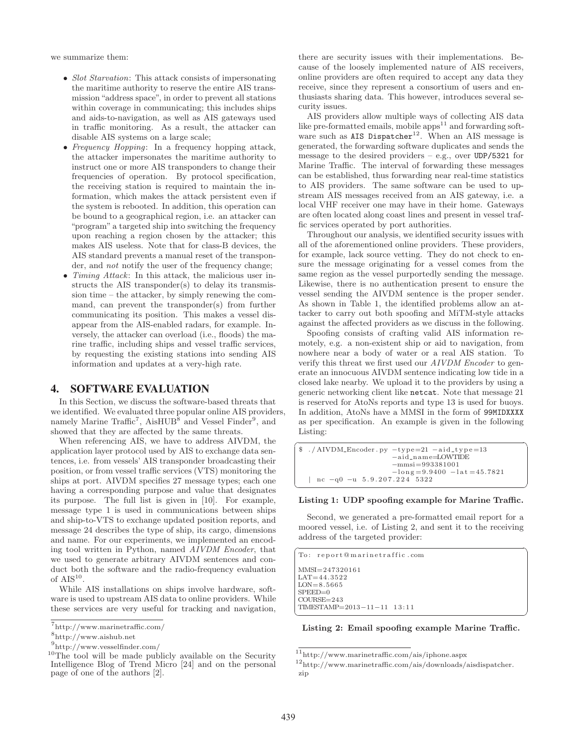we summarize them:

- *Slot Starvation*: This attack consists of impersonating the maritime authority to reserve the entire AIS transmission "address space", in order to prevent all stations within coverage in communicating; this includes ships and aids-to-navigation, as well as AIS gateways used in traffic monitoring. As a result, the attacker can disable AIS systems on a large scale;
- *Frequency Hopping*: In a frequency hopping attack, the attacker impersonates the maritime authority to instruct one or more AIS transponders to change their frequencies of operation. By protocol specification, the receiving station is required to maintain the information, which makes the attack persistent even if the system is rebooted. In addition, this operation can be bound to a geographical region, i.e. an attacker can "program" a targeted ship into switching the frequency upon reaching a region chosen by the attacker; this makes AIS useless. Note that for class-B devices, the AIS standard prevents a manual reset of the transponder, and *not* notify the user of the frequency change;
- *Timing Attack*: In this attack, the malicious user instructs the AIS transponder(s) to delay its transmission time – the attacker, by simply renewing the command, can prevent the transponder(s) from further communicating its position. This makes a vessel disappear from the AIS-enabled radars, for example. Inversely, the attacker can overload (i.e., floods) the marine traffic, including ships and vessel traffic services, by requesting the existing stations into sending AIS information and updates at a very-high rate.

# 4. SOFTWARE EVALUATION

In this Section, we discuss the software-based threats that we identified. We evaluated three popular online AIS providers, namely Marine Traffic<sup>7</sup>, AisHUB<sup>8</sup> and Vessel Finder<sup>9</sup>, and showed that they are affected by the same threats.

When referencing AIS, we have to address AIVDM, the application layer protocol used by AIS to exchange data sentences, i.e. from vessels' AIS transponder broadcasting their position, or from vessel traffic services (VTS) monitoring the ships at port. AIVDM specifies 27 message types; each one having a corresponding purpose and value that designates its purpose. The full list is given in [10]. For example, message type 1 is used in communications between ships and ship-to-VTS to exchange updated position reports, and message 24 describes the type of ship, its cargo, dimensions and name. For our experiments, we implemented an encoding tool written in Python, named *AIVDM Encoder*, that we used to generate arbitrary AIVDM sentences and conduct both the software and the radio-frequency evaluation of  $AIS<sup>10</sup>$ .

While AIS installations on ships involve hardware, software is used to upstream AIS data to online providers. While these services are very useful for tracking and navigation, there are security issues with their implementations. Because of the loosely implemented nature of AIS receivers, online providers are often required to accept any data they receive, since they represent a consortium of users and enthusiasts sharing data. This however, introduces several security issues.

AIS providers allow multiple ways of collecting AIS data like pre-formatted emails, mobile  $\mathrm{aps}^{11}$  and forwarding software such as  $\text{AIS Dispatcher}^{12}$ . When an AIS message is generated, the forwarding software duplicates and sends the message to the desired providers  $-$  e.g., over UDP/5321 for Marine Traffic. The interval of forwarding these messages can be established, thus forwarding near real-time statistics to AIS providers. The same software can be used to upstream AIS messages received from an AIS gateway, i.e. a local VHF receiver one may have in their home. Gateways are often located along coast lines and present in vessel traffic services operated by port authorities.

Throughout our analysis, we identified security issues with all of the aforementioned online providers. These providers, for example, lack source vetting. They do not check to ensure the message originating for a vessel comes from the same region as the vessel purportedly sending the message. Likewise, there is no authentication present to ensure the vessel sending the AIVDM sentence is the proper sender. As shown in Table 1, the identified problems allow an attacker to carry out both spoofing and MiTM-style attacks against the affected providers as we discuss in the following.

Spoofing consists of crafting valid AIS information remotely, e.g. a non-existent ship or aid to navigation, from nowhere near a body of water or a real AIS station. To verify this threat we first used our *AIVDM Encoder* to generate an innocuous AIVDM sentence indicating low tide in a closed lake nearby. We upload it to the providers by using a generic networking client like netcat. Note that message 21 is reserved for AtoNs reports and type 13 is used for buoys. In addition, AtoNs have a MMSI in the form of 99MIDXXXX as per specification. An example is given in the following Listing:

```
✞ ☎ $ . / AIVDM Encoder . py −typ e=21 −aid t y p e =13
                     −aid name=LOWTIDE
                     −mmsi=993381001
                     -long=9.9400 -lat =45.7821
| nc -q0 -u 5.9.207.224 5322
```
#### **Listing 1: UDP spoofing example for Marine Traffic.**

Second, we generated a pre-formatted email report for a moored vessel, i.e. of Listing 2, and sent it to the receiving address of the targeted provider:

To: report@marinetraffic.com MMSI=247320161 LAT=44 .3522 LON=8 .5665  $SPEED=0$  $COI$  IRSE $-243$  $TIMESTAMP=2013-11-11$  13:11

**Listing 2: Email spoofing example Marine Traffic.**

 $7$ http://www.marinetraffic.com/

<sup>8</sup>http://www.aishub.net

 $^9{\rm http://www.vesselfinder.com/}$ 

<sup>&</sup>lt;sup>10</sup>The tool will be made publicly available on the Security Intelligence Blog of Trend Micro [24] and on the personal page of one of the authors [2].

 $^{11}$ http://www.marinetraffic.com/ais/iphone.aspx

 $^{12}{\rm http://www.marinetraffic.com/ais/downloads/aisdispatcher.}$ zip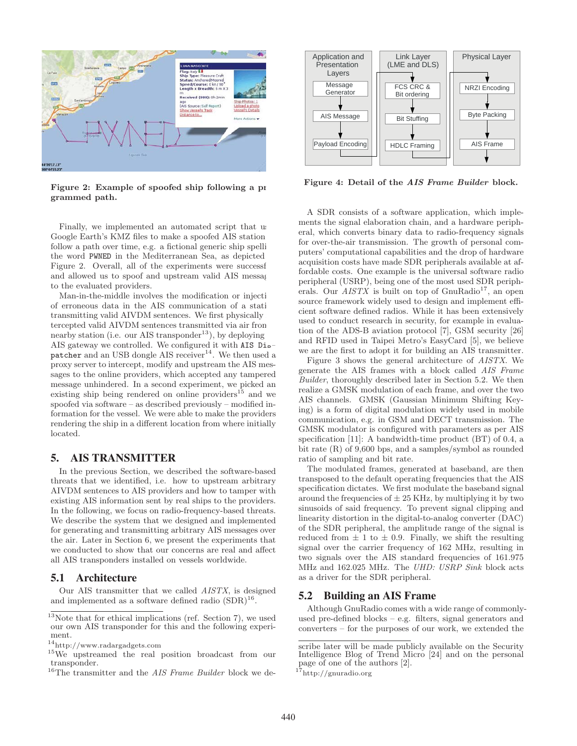

Figure 2: Example of spoofed ship following a pr **grammed path.**

Finally, we implemented an automated script that us Google Earth's KMZ files to make a spoofed AIS station follow a path over time, e.g. a fictional generic ship spelli the word PWNED in the Mediterranean Sea, as depicted Figure 2. Overall, all of the experiments were successf and allowed us to spoof and upstream valid AIS messages to the evaluated providers.

Man-in-the-middle involves the modification or injecti of erroneous data in the AIS communication of a stati transmitting valid AIVDM sentences. We first physically intercepted valid AIVDM sentences transmitted via air from nearby station (i.e. our AIS transponder<sup>13</sup>), by deploying AIS gateway we controlled. We configured it with AIS Dispatcher and an USB dongle AIS receiver<sup>14</sup>. We then used a proxy server to intercept, modify and upstream the AIS messages to the online providers, which accepted any tampered message unhindered. In a second experiment, we picked an existing ship being rendered on online providers $^{15}$  and we spoofed via software – as described previously – modified information for the vessel. We were able to make the providers rendering the ship in a different location from where initially located.

## 5. AIS TRANSMITTER

In the previous Section, we described the software-based threats that we identified, i.e. how to upstream arbitrary AIVDM sentences to AIS providers and how to tamper with existing AIS information sent by real ships to the providers. In the following, we focus on radio-frequency-based threats. We describe the system that we designed and implemented for generating and transmitting arbitrary AIS messages over the air. Later in Section 6, we present the experiments that we conducted to show that our concerns are real and affect all AIS transponders installed on vessels worldwide.

## 5.1 Architecture

Our AIS transmitter that we called *AISTX*, is designed and implemented as a software defined radio  $(SDR)^{16}$ .



**Figure 4: Detail of the** *AIS Frame Builder* **block.**

A SDR consists of a software application, which implements the signal elaboration chain, and a hardware peripheral, which converts binary data to radio-frequency signals for over-the-air transmission. The growth of personal computers' computational capabilities and the drop of hardware acquisition costs have made SDR peripherals available at affordable costs. One example is the universal software radio peripheral (USRP), being one of the most used SDR peripherals. Our  $AISTX$  is built on top of GnuRadio<sup>17</sup>, an open source framework widely used to design and implement efficient software defined radios. While it has been extensively used to conduct research in security, for example in evaluation of the ADS-B aviation protocol [7], GSM security [26] and RFID used in Taipei Metro's EasyCard [5], we believe we are the first to adopt it for building an AIS transmitter.

Figure 3 shows the general architecture of *AISTX*. We generate the AIS frames with a block called *AIS Frame Builder*, thoroughly described later in Section 5.2. We then realize a GMSK modulation of each frame, and over the two AIS channels. GMSK (Gaussian Minimum Shifting Keying) is a form of digital modulation widely used in mobile communication, e.g. in GSM and DECT transmission. The GMSK modulator is configured with parameters as per AIS specification [11]: A bandwidth-time product (BT) of 0.4, a bit rate (R) of 9,600 bps, and a samples/symbol as rounded ratio of sampling and bit rate.

The modulated frames, generated at baseband, are then transposed to the default operating frequencies that the AIS specification dictates. We first modulate the baseband signal around the frequencies of  $\pm 25$  KHz, by multiplying it by two sinusoids of said frequency. To prevent signal clipping and linearity distortion in the digital-to-analog converter (DAC) of the SDR peripheral, the amplitude range of the signal is reduced from  $\pm$  1 to  $\pm$  0.9. Finally, we shift the resulting signal over the carrier frequency of 162 MHz, resulting in two signals over the AIS standard frequencies of 161.975 MHz and 162.025 MHz. The *UHD: USRP Sink* block acts as a driver for the SDR peripheral.

## 5.2 Building an AIS Frame

Although GnuRadio comes with a wide range of commonlyused pre-defined blocks – e.g. filters, signal generators and converters – for the purposes of our work, we extended the

 $13$ Note that for ethical implications (ref. Section 7), we used our own AIS transponder for this and the following experi-

 $\rm ^{14}$ http://www.radargadgets.com

<sup>&</sup>lt;sup>15</sup>We upstreamed the real position broadcast from our transponder.

<sup>16</sup>The transmitter and the *AIS Frame Builder* block we de-

scribe later will be made publicly available on the Security Intelligence Blog of Trend Micro [24] and on the personal page of one of the authors [2].

<sup>17</sup>http://gnuradio.org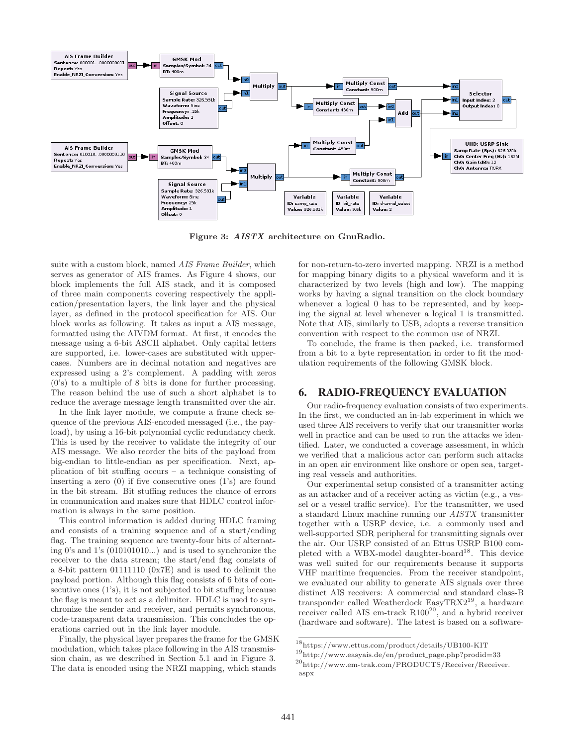

**Figure 3:** *AISTX* **architecture on GnuRadio.**

suite with a custom block, named *AIS Frame Builder*, which serves as generator of AIS frames. As Figure 4 shows, our block implements the full AIS stack, and it is composed of three main components covering respectively the application/presentation layers, the link layer and the physical layer, as defined in the protocol specification for AIS. Our block works as following. It takes as input a AIS message, formatted using the AIVDM format. At first, it encodes the message using a 6-bit ASCII alphabet. Only capital letters are supported, i.e. lower-cases are substituted with uppercases. Numbers are in decimal notation and negatives are expressed using a 2's complement. A padding with zeros (0's) to a multiple of 8 bits is done for further processing. The reason behind the use of such a short alphabet is to reduce the average message length transmitted over the air.

In the link layer module, we compute a frame check sequence of the previous AIS-encoded messaged (i.e., the payload), by using a 16-bit polynomial cyclic redundancy check. This is used by the receiver to validate the integrity of our AIS message. We also reorder the bits of the payload from big-endian to little-endian as per specification. Next, application of bit stuffing occurs – a technique consisting of inserting a zero (0) if five consecutive ones (1's) are found in the bit stream. Bit stuffing reduces the chance of errors in communication and makes sure that HDLC control information is always in the same position.

This control information is added during HDLC framing and consists of a training sequence and of a start/ending flag. The training sequence are twenty-four bits of alternating 0's and 1's (010101010...) and is used to synchronize the receiver to the data stream; the start/end flag consists of a 8-bit pattern 01111110 (0x7E) and is used to delimit the payload portion. Although this flag consists of 6 bits of consecutive ones (1's), it is not subjected to bit stuffing because the flag is meant to act as a delimiter. HDLC is used to synchronize the sender and receiver, and permits synchronous, code-transparent data transmission. This concludes the operations carried out in the link layer module.

Finally, the physical layer prepares the frame for the GMSK modulation, which takes place following in the AIS transmission chain, as we described in Section 5.1 and in Figure 3. The data is encoded using the NRZI mapping, which stands

for non-return-to-zero inverted mapping. NRZI is a method for mapping binary digits to a physical waveform and it is characterized by two levels (high and low). The mapping works by having a signal transition on the clock boundary whenever a logical 0 has to be represented, and by keeping the signal at level whenever a logical 1 is transmitted. Note that AIS, similarly to USB, adopts a reverse transition convention with respect to the common use of NRZI.

To conclude, the frame is then packed, i.e. transformed from a bit to a byte representation in order to fit the modulation requirements of the following GMSK block.

## 6. RADIO-FREQUENCY EVALUATION

Our radio-frequency evaluation consists of two experiments. In the first, we conducted an in-lab experiment in which we used three AIS receivers to verify that our transmitter works well in practice and can be used to run the attacks we identified. Later, we conducted a coverage assessment, in which we verified that a malicious actor can perform such attacks in an open air environment like onshore or open sea, targeting real vessels and authorities.

Our experimental setup consisted of a transmitter acting as an attacker and of a receiver acting as victim (e.g., a vessel or a vessel traffic service). For the transmitter, we used a standard Linux machine running our *AISTX* transmitter together with a USRP device, i.e. a commonly used and well-supported SDR peripheral for transmitting signals over the air. Our USRP consisted of an Ettus USRP B100 completed with a WBX-model daughter-board<sup>18</sup>. This device was well suited for our requirements because it supports VHF maritime frequencies. From the receiver standpoint, we evaluated our ability to generate AIS signals over three distinct AIS receivers: A commercial and standard class-B transponder called Weatherdock EasyTRX2<sup>19</sup>, a hardware receiver called AIS em-track  $R100^{20}$ , and a hybrid receiver (hardware and software). The latest is based on a software-

 $^{18}{\rm https://www.ettus.com/product/details/UB100-KIT}$ 

 $^{19}$ http://www.easyais.de/en/product\_page.php?prodid=33

 $^{20}\rm{http://www.em-trak.com/PRODUCTS/Receiver/Receiver}.$ aspx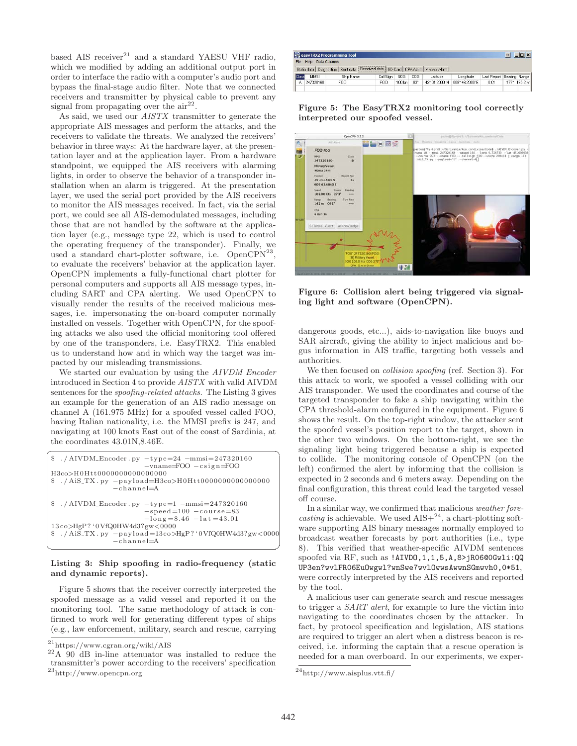based AIS  $receiver<sup>21</sup>$  and a standard YAESU VHF radio, which we modified by adding an additional output port in order to interface the radio with a computer's audio port and bypass the final-stage audio filter. Note that we connected receivers and transmitter by physical cable to prevent any signal from propagating over the  $\arctan^{22}$ .

As said, we used our *AISTX* transmitter to generate the appropriate AIS messages and perform the attacks, and the receivers to validate the threats. We analyzed the receivers' behavior in three ways: At the hardware layer, at the presentation layer and at the application layer. From a hardware standpoint, we equipped the AIS receivers with alarming lights, in order to observe the behavior of a transponder installation when an alarm is triggered. At the presentation layer, we used the serial port provided by the AIS receivers to monitor the AIS messages received. In fact, via the serial port, we could see all AIS-demodulated messages, including those that are not handled by the software at the application layer (e.g., message type 22, which is used to control the operating frequency of the transponder). Finally, we used a standard chart-plotter software, i.e.  $OpenCPN<sup>23</sup>$ , to evaluate the receivers' behavior at the application layer. OpenCPN implements a fully-functional chart plotter for personal computers and supports all AIS message types, including SART and CPA alerting. We used OpenCPN to visually render the results of the received malicious messages, i.e. impersonating the on-board computer normally installed on vessels. Together with OpenCPN, for the spoofing attacks we also used the official monitoring tool offered by one of the transponders, i.e. EasyTRX2. This enabled us to understand how and in which way the target was impacted by our misleading transmissions.

We started our evaluation by using the *AIVDM Encoder* introduced in Section 4 to provide *AISTX* with valid AIVDM sentences for the *spoofing-related attacks*. The Listing 3 gives an example for the generation of an AIS radio message on channel A (161.975 MHz) for a spoofed vessel called FOO, having Italian nationality, i.e. the MMSI prefix is 247, and navigating at 100 knots East out of the coast of Sardinia, at the coordinates 43.01N,8.46E.

| \$ ./AIVDM_Encoder.py $-$ type=24 $-mmsi=247320160$             |
|-----------------------------------------------------------------|
| $-vname=FOO -csign=FOO$                                         |
| H3co>H0Htt0000000000000000                                      |
|                                                                 |
| $-c$ hannel $=A$                                                |
|                                                                 |
| $M.$ /AIVDM_Encoder.py -type=1 -mmsi=247320160                  |
| $-speed = 100 - course = 83$                                    |
| $-\ln g = 8.46$ $-\ln t = 43.01$                                |
|                                                                 |
| $13\text{co}$ $\geq$ HgP? '0VfQ0HW4d3?gw<0000                   |
| $\frac{1}{2}$ ./AiS_TX.py -payload=13co>HgP?'0VfQ0HW4d3?gw<0000 |
| $-$ channel $=$ A                                               |
|                                                                 |

#### **Listing 3: Ship spoofing in radio-frequency (static and dynamic reports).**

Figure 5 shows that the receiver correctly interpreted the spoofed message as a valid vessel and reported it on the monitoring tool. The same methodology of attack is confirmed to work well for generating different types of ships (e.g., law enforcement, military, search and rescue, carrying

|              |                   | easyTRX2 Programming Tool                                                                  |            |                    |     |                |                 |                           | $\Theta$      | $ \Box$ $\times$ $\Box$ |
|--------------|-------------------|--------------------------------------------------------------------------------------------|------------|--------------------|-----|----------------|-----------------|---------------------------|---------------|-------------------------|
| File         | Help Data Columns |                                                                                            |            |                    |     |                |                 |                           |               |                         |
|              |                   | Static data   Diagnostics   Sent data   Received data   SD-Card   CPA-Alarm   Anchor-Alarm |            |                    |     |                |                 |                           |               |                         |
| <b>Class</b> | <b>MMSI</b>       | Ship Name                                                                                  | Call Sign  | SOG                | COG | Latitude       | Longitude       | Last Report Bearing Range |               |                         |
|              | 247320160         | FOO.                                                                                       | <b>FOO</b> | $100\,\mathrm{kn}$ | 83° | 43° 01 2000' N | 008° 46.2000' E | 0:01                      | $177^{\circ}$ | 165.2 nr                |
| A            |                   |                                                                                            |            |                    |     |                |                 |                           |               |                         |

**Figure 5: The EasyTRX2 monitoring tool correctly interpreted our spoofed vessel.**



**Figure 6: Collision alert being triggered via signaling light and software (OpenCPN).**

dangerous goods, etc...), aids-to-navigation like buoys and SAR aircraft, giving the ability to inject malicious and bogus information in AIS traffic, targeting both vessels and authorities.

We then focused on *collision spoofing* (ref. Section 3). For this attack to work, we spoofed a vessel colliding with our AIS transponder. We used the coordinates and course of the targeted transponder to fake a ship navigating within the CPA threshold-alarm configured in the equipment. Figure 6 shows the result. On the top-right window, the attacker sent the spoofed vessel's position report to the target, shown in the other two windows. On the bottom-right, we see the signaling light being triggered because a ship is expected to collide. The monitoring console of OpenCPN (on the left) confirmed the alert by informing that the collision is expected in 2 seconds and 6 meters away. Depending on the final configuration, this threat could lead the targeted vessel off course.

In a similar way, we confirmed that malicious *weather forecasting* is achievable. We used  $AIS + 24$ , a chart-plotting software supporting AIS binary messages normally employed to broadcast weather forecasts by port authorities (i.e., type 8). This verified that weather-specific AIVDM sentences spoofed via RF, such as !AIVDO,1,1,5,A,8>jR06@0Gwli:QQ UP3en?wvlFR06EuOwgwl?wnSwe7wvlOwwsAwwnSGmwvh0,0\*51, were correctly interpreted by the AIS receivers and reported by the tool.

A malicious user can generate search and rescue messages to trigger a *SART alert*, for example to lure the victim into navigating to the coordinates chosen by the attacker. In fact, by protocol specification and legislation, AIS stations are required to trigger an alert when a distress beacon is received, i.e. informing the captain that a rescue operation is needed for a man overboard. In our experiments, we exper-

<sup>21</sup>https://www.cgran.org/wiki/AIS

 $22A$  90 dB in-line attenuator was installed to reduce the transmitter's power according to the receivers' specification  $^{23}\mathrm{http://www.opencpn.org}$ 

 $^{24}$ http://www.aisplus.vtt.fi/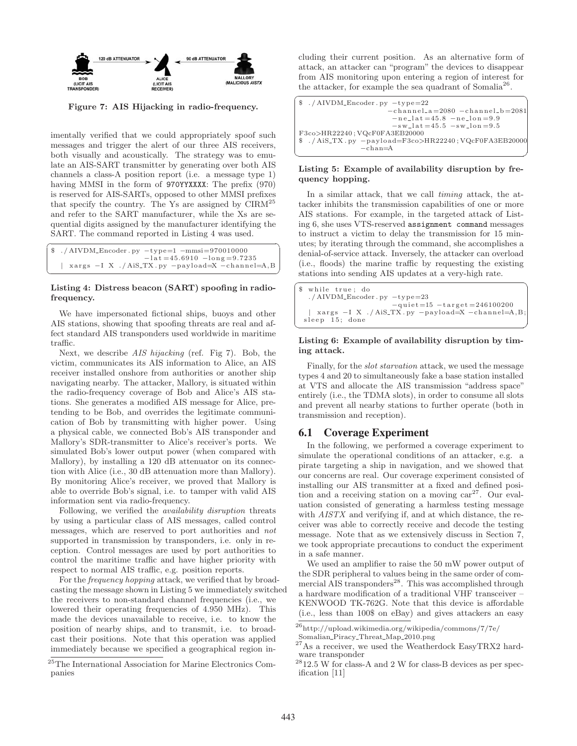

**Figure 7: AIS Hijacking in radio-frequency.**

imentally verified that we could appropriately spoof such messages and trigger the alert of our three AIS receivers, both visually and acoustically. The strategy was to emulate an AIS-SART transmitter by generating over both AIS channels a class-A position report (i.e. a message type 1) having MMSI in the form of 970YYXXXX: The prefix (970) is reserved for AIS-SARTs, opposed to other MMSI prefixes that specify the country. The Ys are assigned by CIRM<sup>25</sup> and refer to the SART manufacturer, while the Xs are sequential digits assigned by the manufacturer identifying the SART. The command reported in Listing 4 was used.

```
✞ ☎ $ . / AIVDM Encoder . py −typ e=1 −mmsi=970010000
                      −lat =45.6910 −long=9.7235
  xargs -I X. / AiS_TX. py -payload=X -channel=A, B
```
#### **Listing 4: Distress beacon (SART) spoofing in radiofrequency.**

We have impersonated fictional ships, buoys and other AIS stations, showing that spoofing threats are real and affect standard AIS transponders used worldwide in maritime traffic.

Next, we describe *AIS hijacking* (ref. Fig 7). Bob, the victim, communicates its AIS information to Alice, an AIS receiver installed onshore from authorities or another ship navigating nearby. The attacker, Mallory, is situated within the radio-frequency coverage of Bob and Alice's AIS stations. She generates a modified AIS message for Alice, pretending to be Bob, and overrides the legitimate communication of Bob by transmitting with higher power. Using a physical cable, we connected Bob's AIS transponder and Mallory's SDR-transmitter to Alice's receiver's ports. We simulated Bob's lower output power (when compared with Mallory), by installing a 120 dB attenuator on its connection with Alice (i.e., 30 dB attenuation more than Mallory). By monitoring Alice's receiver, we proved that Mallory is able to override Bob's signal, i.e. to tamper with valid AIS information sent via radio-frequency.

Following, we verified the *availability disruption* threats by using a particular class of AIS messages, called control messages, which are reserved to port authorities and *not* supported in transmission by transponders, i.e. only in reception. Control messages are used by port authorities to control the maritime traffic and have higher priority with respect to normal AIS traffic, e.g. position reports.

For the *frequency hopping* attack, we verified that by broadcasting the message shown in Listing 5 we immediately switched the receivers to non-standard channel frequencies (i.e., we lowered their operating frequencies of 4.950 MHz). This made the devices unavailable to receive, i.e. to know the position of nearby ships, and to transmit, i.e. to broadcast their positions. Note that this operation was applied immediately because we specified a geographical region including their current position. As an alternative form of attack, an attacker can "program" the devices to disappear from AIS monitoring upon entering a region of interest for the attacker, for example the sea quadrant of Somalia<sup>26</sup>.

| $\,$ ./AIVDM_Encoder.py $-$ type=22                             |  |
|-----------------------------------------------------------------|--|
| $-$ channel_a=2080 $-$ channel_b=2081                           |  |
| $-ne$ lat $=45.8$ $-ne$ lon $=9.9$                              |  |
| $-sw_{\text{1}}at = 45.5 - sw_{\text{1}}on = 9.5$               |  |
| F3co>HR22240; VQcF0FA3EB20000                                   |  |
| $\frac{1}{2}$ ./AiS_TX.py -payload=F3co>HR22240;VQcF0FA3EB20000 |  |
| $-c$ han $=$ A                                                  |  |
|                                                                 |  |

## **Listing 5: Example of availability disruption by frequency hopping.**

In a similar attack, that we call *timing* attack, the attacker inhibits the transmission capabilities of one or more AIS stations. For example, in the targeted attack of Listing 6, she uses VTS-reserved assignment command messages to instruct a victim to delay the transmission for 15 minutes; by iterating through the command, she accomplishes a denial-of-service attack. Inversely, the attacker can overload (i.e., floods) the marine traffic by requesting the existing stations into sending AIS updates at a very-high rate.

| \$ while true; do                                      |
|--------------------------------------------------------|
| ./AIVDM_Encoder.py $-$ type=23                         |
| $-quiet=15 -t \arg et=246100200$                       |
| xargs $-I X$ ./AiS_TX.py $-payload=X$ $-channel=A,B$ ; |
| sleep 15; done                                         |
|                                                        |

## **Listing 6: Example of availability disruption by timing attack.**

Finally, for the *slot starvation* attack, we used the message types 4 and 20 to simultaneously fake a base station installed at VTS and allocate the AIS transmission "address space" entirely (i.e., the TDMA slots), in order to consume all slots and prevent all nearby stations to further operate (both in transmission and reception).

# 6.1 Coverage Experiment

In the following, we performed a coverage experiment to simulate the operational conditions of an attacker, e.g. a pirate targeting a ship in navigation, and we showed that our concerns are real. Our coverage experiment consisted of installing our AIS transmitter at a fixed and defined position and a receiving station on a moving  $car<sup>27</sup>$ . Our evaluation consisted of generating a harmless testing message with *AISTX* and verifying if, and at which distance, the receiver was able to correctly receive and decode the testing message. Note that as we extensively discuss in Section 7, we took appropriate precautions to conduct the experiment in a safe manner.

We used an amplifier to raise the 50 mW power output of the SDR peripheral to values being in the same order of commercial AIS transponders<sup>28</sup>. This was accomplished through a hardware modification of a traditional VHF transceiver – KENWOOD TK-762G. Note that this device is affordable (i.e., less than 100\$ on eBay) and gives attackers an easy

 $^{25}\mathrm{The\ International\ Association}$  for Marine Electronics Companies

 $^{26}$ http://upload.wikimedia.org/wikipedia/commons/7/7e/ Somalian Piracy Threat Map 2010.png

 $^{27}\mathrm{As}$  a receiver, we used the Weatherdock EasyTRX2 hardware transponder

 $2812.5$  W for class-A and 2 W for class-B devices as per specification [11]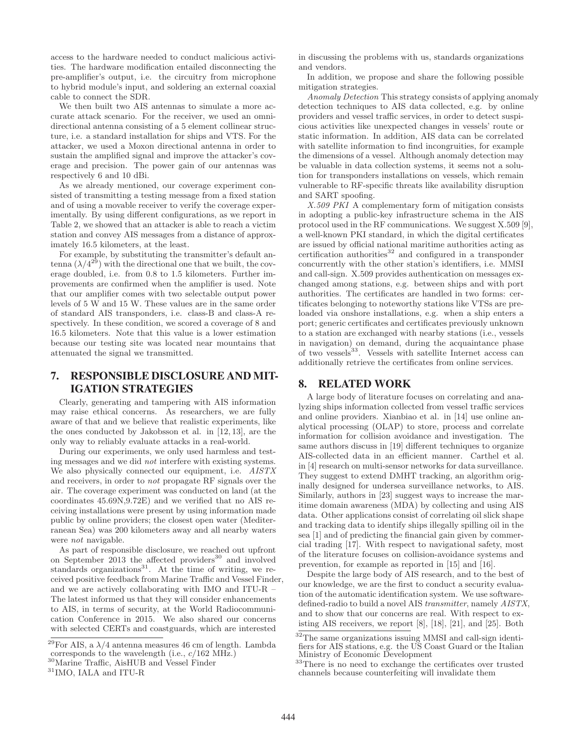access to the hardware needed to conduct malicious activities. The hardware modification entailed disconnecting the pre-amplifier's output, i.e. the circuitry from microphone to hybrid module's input, and soldering an external coaxial cable to connect the SDR.

We then built two AIS antennas to simulate a more accurate attack scenario. For the receiver, we used an omnidirectional antenna consisting of a 5 element collinear structure, i.e. a standard installation for ships and VTS. For the attacker, we used a Moxon directional antenna in order to sustain the amplified signal and improve the attacker's coverage and precision. The power gain of our antennas was respectively 6 and 10 dBi.

As we already mentioned, our coverage experiment consisted of transmitting a testing message from a fixed station and of using a movable receiver to verify the coverage experimentally. By using different configurations, as we report in Table 2, we showed that an attacker is able to reach a victim station and convey AIS messages from a distance of approximately 16.5 kilometers, at the least.

For example, by substituting the transmitter's default antenna  $(\lambda/4^{29})$  with the directional one that we built, the coverage doubled, i.e. from 0.8 to 1.5 kilometers. Further improvements are confirmed when the amplifier is used. Note that our amplifier comes with two selectable output power levels of 5 W and 15 W. These values are in the same order of standard AIS transponders, i.e. class-B and class-A respectively. In these condition, we scored a coverage of 8 and 16.5 kilometers. Note that this value is a lower estimation because our testing site was located near mountains that attenuated the signal we transmitted.

# 7. RESPONSIBLE DISCLOSURE AND MIT-IGATION STRATEGIES

Clearly, generating and tampering with AIS information may raise ethical concerns. As researchers, we are fully aware of that and we believe that realistic experiments, like the ones conducted by Jakobsson et al. in [12, 13], are the only way to reliably evaluate attacks in a real-world.

During our experiments, we only used harmless and testing messages and we did *not* interfere with existing systems. We also physically connected our equipment, i.e. *AISTX* and receivers, in order to *not* propagate RF signals over the air. The coverage experiment was conducted on land (at the coordinates 45.69N,9.72E) and we verified that no AIS receiving installations were present by using information made public by online providers; the closest open water (Mediterranean Sea) was 200 kilometers away and all nearby waters were *not* navigable.

As part of responsible disclosure, we reached out upfront on September 2013 the affected providers $30$  and involved standards organizations<sup>31</sup>. At the time of writing, we received positive feedback from Marine Traffic and Vessel Finder, and we are actively collaborating with IMO and ITU-R – The latest informed us that they will consider enhancements to AIS, in terms of security, at the World Radiocommunication Conference in 2015. We also shared our concerns with selected CERTs and coastguards, which are interested

in discussing the problems with us, standards organizations and vendors.

In addition, we propose and share the following possible mitigation strategies.

*Anomaly Detection* This strategy consists of applying anomaly detection techniques to AIS data collected, e.g. by online providers and vessel traffic services, in order to detect suspicious activities like unexpected changes in vessels' route or static information. In addition, AIS data can be correlated with satellite information to find incongruities, for example the dimensions of a vessel. Although anomaly detection may be valuable in data collection systems, it seems not a solution for transponders installations on vessels, which remain vulnerable to RF-specific threats like availability disruption and SART spoofing.

*X.509 PKI* A complementary form of mitigation consists in adopting a public-key infrastructure schema in the AIS protocol used in the RF communications. We suggest X.509 [9], a well-known PKI standard, in which the digital certificates are issued by official national maritime authorities acting as certification authorities $32$  and configured in a transponder concurrently with the other station's identifiers, i.e. MMSI and call-sign. X.509 provides authentication on messages exchanged among stations, e.g. between ships and with port authorities. The certificates are handled in two forms: certificates belonging to noteworthy stations like VTSs are preloaded via onshore installations, e.g. when a ship enters a port; generic certificates and certificates previously unknown to a station are exchanged with nearby stations (i.e., vessels in navigation) on demand, during the acquaintance phase of two vessels<sup>33</sup>. Vessels with satellite Internet access can additionally retrieve the certificates from online services.

# 8. RELATED WORK

A large body of literature focuses on correlating and analyzing ships information collected from vessel traffic services and online providers. Xianbiao et al. in [14] use online analytical processing (OLAP) to store, process and correlate information for collision avoidance and investigation. The same authors discuss in [19] different techniques to organize AIS-collected data in an efficient manner. Carthel et al. in [4] research on multi-sensor networks for data surveillance. They suggest to extend DMHT tracking, an algorithm originally designed for undersea surveillance networks, to AIS. Similarly, authors in [23] suggest ways to increase the maritime domain awareness (MDA) by collecting and using AIS data. Other applications consist of correlating oil slick shape and tracking data to identify ships illegally spilling oil in the sea [1] and of predicting the financial gain given by commercial trading [17]. With respect to navigational safety, most of the literature focuses on collision-avoidance systems and prevention, for example as reported in [15] and [16].

Despite the large body of AIS research, and to the best of our knowledge, we are the first to conduct a security evaluation of the automatic identification system. We use softwaredefined-radio to build a novel AIS *transmitter*, namely *AISTX*, and to show that our concerns are real. With respect to existing AIS receivers, we report [8], [18], [21], and [25]. Both

<sup>&</sup>lt;sup>29</sup>For AIS, a  $\lambda/4$  antenna measures 46 cm of length. Lambda corresponds to the wavelength (i.e.,  $c/162$  MHz.)

 $\rm{^{30}Marine}$  Traffic, AisHUB and Vessel Finder  $\rm{^{31}IMO}$  IALA and ITU-R

<sup>&</sup>lt;sup>32</sup>The same organizations issuing MMSI and call-sign identifiers for AIS stations, e.g. the US Coast Guard or the Italian Ministry of Economic Development<br><sup>33</sup>There is no need to exchange the certificates over trusted

channels because counterfeiting will invalidate them